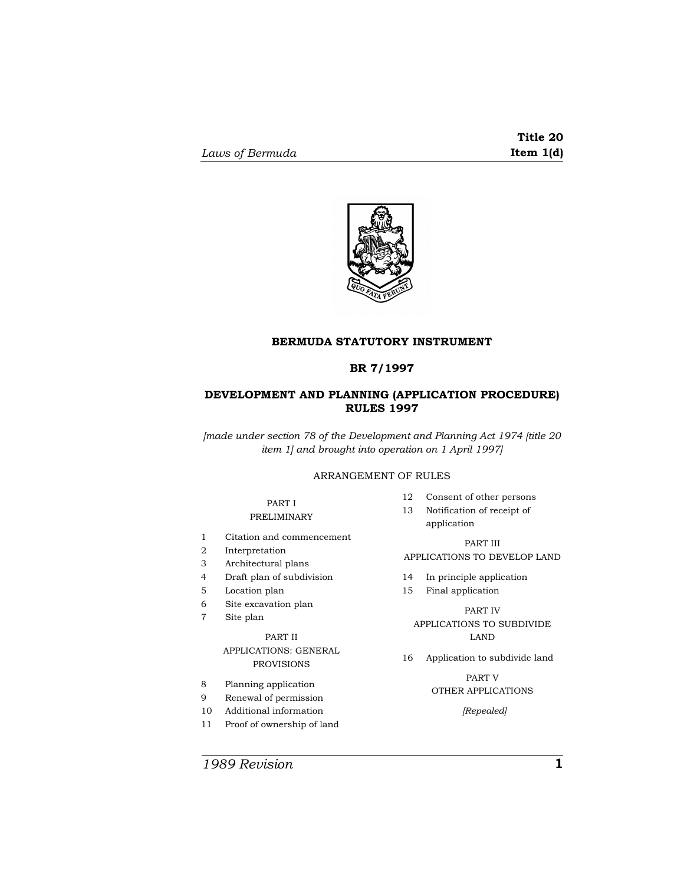

#### **BERMUDA STATUTORY INSTRUMENT**

## **BR 7/1997**

## **DEVELOPMENT AND PLANNING (APPLICATION PROCEDURE) RULES 1997**

*[made under section 78 of the Development and Planning Act 1974 [title 20 item 1] and brought into operation on 1 April 1997]* 

## ARRANGEMENT OF RULES

## PART I

## PRELIMINARY

- 1 Citation and commencement
- 2 Interpretation
- 3 Architectural plans
- 4 Draft plan of subdivision
- 5 Location plan
- 6 Site excavation plan
- 7 Site plan

## PART II APPLICATIONS: GENERAL PROVISIONS

- 8 Planning application
- 9 Renewal of permission
- 10 Additional information
- 11 Proof of ownership of land
- 12 Consent of other persons
- 13 Notification of receipt of application

## PART III APPLICATIONS TO DEVELOP LAND

- 14 In principle application
- 15 Final application

## PART IV APPLICATIONS TO SUBDIVIDE LAND

16 Application to subdivide land

## PART V OTHER APPLICATIONS

*[Repealed]* 

*1989 Revision* **1**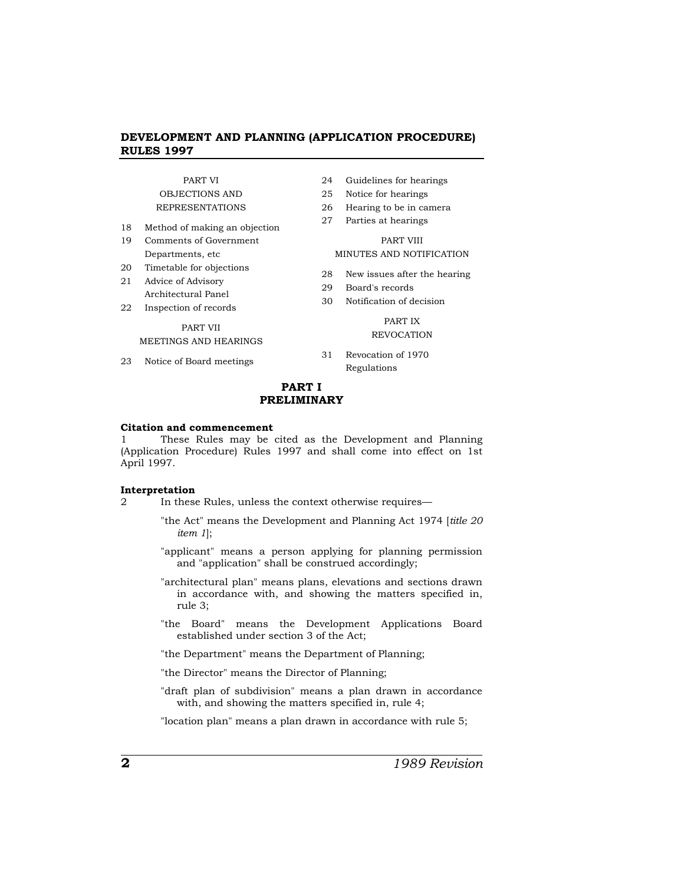## PART VI OBJECTIONS AND REPRESENTATIONS

- 18 Method of making an objection
- 19 Comments of Government Departments, etc
- 20 Timetable for objections
- 21 Advice of Advisory
- Architectural Panel
- 22 Inspection of records

#### PART VII

## MEETINGS AND HEARINGS

23 Notice of Board meetings

- 24 Guidelines for hearings
- 25 Notice for hearings
- 26 Hearing to be in camera
- 27 Parties at hearings

#### PART VIII MINUTES AND NOTIFICATION

- 28 New issues after the hearing
- 29 Board's records
- 30 Notification of decision

#### PART IX **REVOCATION**

31 Revocation of 1970 Regulations

## **PART I PRELIMINARY**

#### **Citation and commencement**

1 These Rules may be cited as the Development and Planning (Application Procedure) Rules 1997 and shall come into effect on 1st April 1997.

#### **Interpretation**

- 2 In these Rules, unless the context otherwise requires—
	- "the Act" means the Development and Planning Act 1974 [*title 20 item 1*];
	- "applicant" means a person applying for planning permission and "application" shall be construed accordingly;
	- "architectural plan" means plans, elevations and sections drawn in accordance with, and showing the matters specified in, rule 3;
	- "the Board" means the Development Applications Board established under section 3 of the Act;

"the Department" means the Department of Planning;

"the Director" means the Director of Planning;

"draft plan of subdivision" means a plan drawn in accordance with, and showing the matters specified in, rule 4;

"location plan" means a plan drawn in accordance with rule 5;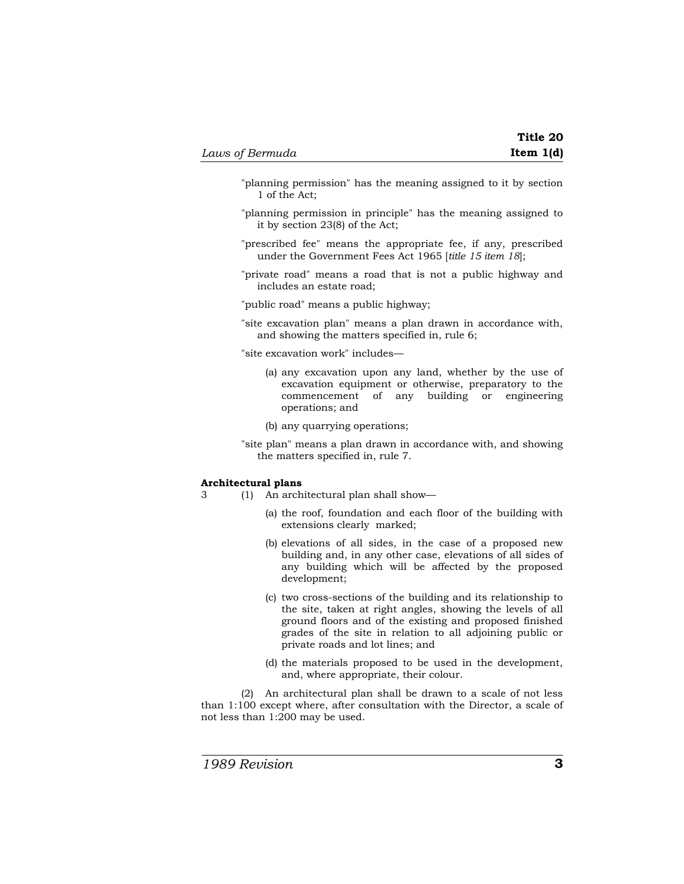- "planning permission" has the meaning assigned to it by section 1 of the Act;
- "planning permission in principle" has the meaning assigned to it by section 23(8) of the Act;
- "prescribed fee" means the appropriate fee, if any, prescribed under the Government Fees Act 1965 [*title 15 item 18*];
- "private road" means a road that is not a public highway and includes an estate road;

"public road" means a public highway;

"site excavation plan" means a plan drawn in accordance with, and showing the matters specified in, rule 6;

"site excavation work" includes—

- (a) any excavation upon any land, whether by the use of excavation equipment or otherwise, preparatory to the commencement of any building or engineering operations; and
- (b) any quarrying operations;
- "site plan" means a plan drawn in accordance with, and showing the matters specified in, rule 7.

#### **Architectural plans**

- 3 (1) An architectural plan shall show—
	- (a) the roof, foundation and each floor of the building with extensions clearly marked;
	- (b) elevations of all sides, in the case of a proposed new building and, in any other case, elevations of all sides of any building which will be affected by the proposed development;
	- (c) two cross-sections of the building and its relationship to the site, taken at right angles, showing the levels of all ground floors and of the existing and proposed finished grades of the site in relation to all adjoining public or private roads and lot lines; and
	- (d) the materials proposed to be used in the development, and, where appropriate, their colour.

(2) An architectural plan shall be drawn to a scale of not less than 1:100 except where, after consultation with the Director, a scale of not less than 1:200 may be used.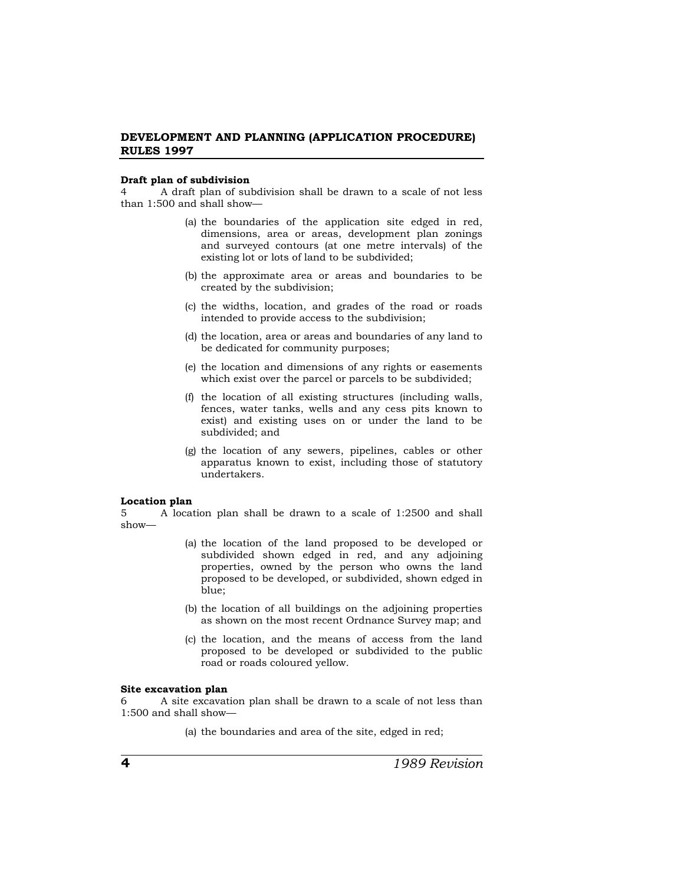#### **Draft plan of subdivision**

4 A draft plan of subdivision shall be drawn to a scale of not less than 1:500 and shall show—

- (a) the boundaries of the application site edged in red, dimensions, area or areas, development plan zonings and surveyed contours (at one metre intervals) of the existing lot or lots of land to be subdivided;
- (b) the approximate area or areas and boundaries to be created by the subdivision;
- (c) the widths, location, and grades of the road or roads intended to provide access to the subdivision;
- (d) the location, area or areas and boundaries of any land to be dedicated for community purposes;
- (e) the location and dimensions of any rights or easements which exist over the parcel or parcels to be subdivided;
- (f) the location of all existing structures (including walls, fences, water tanks, wells and any cess pits known to exist) and existing uses on or under the land to be subdivided; and
- (g) the location of any sewers, pipelines, cables or other apparatus known to exist, including those of statutory undertakers.

#### **Location plan**

5 A location plan shall be drawn to a scale of 1:2500 and shall show—

- (a) the location of the land proposed to be developed or subdivided shown edged in red, and any adjoining properties, owned by the person who owns the land proposed to be developed, or subdivided, shown edged in blue;
- (b) the location of all buildings on the adjoining properties as shown on the most recent Ordnance Survey map; and
- (c) the location, and the means of access from the land proposed to be developed or subdivided to the public road or roads coloured yellow.

#### **Site excavation plan**

6 A site excavation plan shall be drawn to a scale of not less than 1:500 and shall show—

(a) the boundaries and area of the site, edged in red;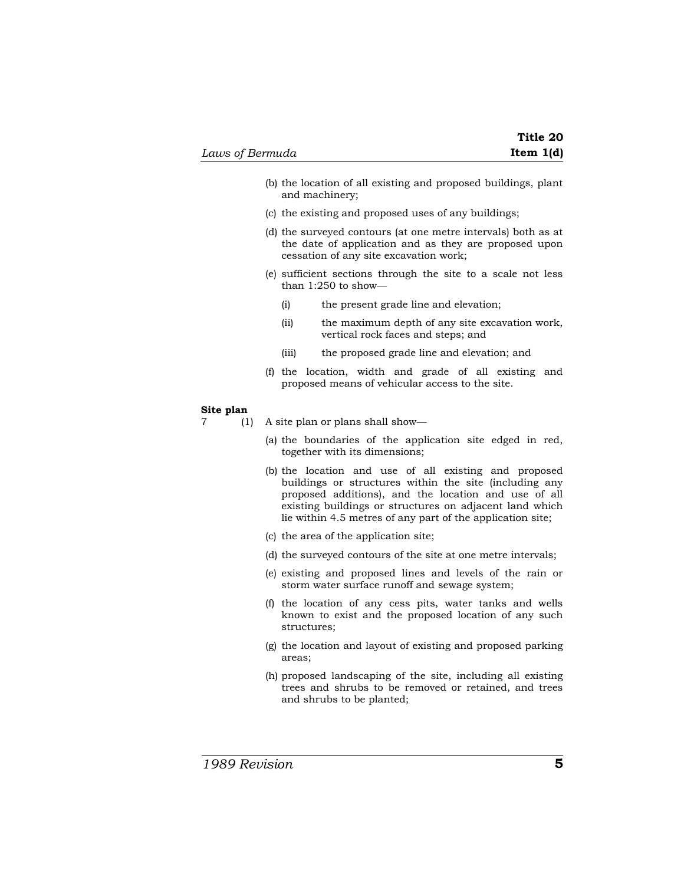- (b) the location of all existing and proposed buildings, plant and machinery;
- (c) the existing and proposed uses of any buildings;
- (d) the surveyed contours (at one metre intervals) both as at the date of application and as they are proposed upon cessation of any site excavation work;
- (e) sufficient sections through the site to a scale not less than 1:250 to show—
	- (i) the present grade line and elevation;
	- (ii) the maximum depth of any site excavation work, vertical rock faces and steps; and
	- (iii) the proposed grade line and elevation; and
- (f) the location, width and grade of all existing and proposed means of vehicular access to the site.

#### **Site plan**

7 (1) A site plan or plans shall show—

- (a) the boundaries of the application site edged in red, together with its dimensions;
- (b) the location and use of all existing and proposed buildings or structures within the site (including any proposed additions), and the location and use of all existing buildings or structures on adjacent land which lie within 4.5 metres of any part of the application site;
- (c) the area of the application site;
- (d) the surveyed contours of the site at one metre intervals;
- (e) existing and proposed lines and levels of the rain or storm water surface runoff and sewage system;
- (f) the location of any cess pits, water tanks and wells known to exist and the proposed location of any such structures;
- (g) the location and layout of existing and proposed parking areas;
- (h) proposed landscaping of the site, including all existing trees and shrubs to be removed or retained, and trees and shrubs to be planted;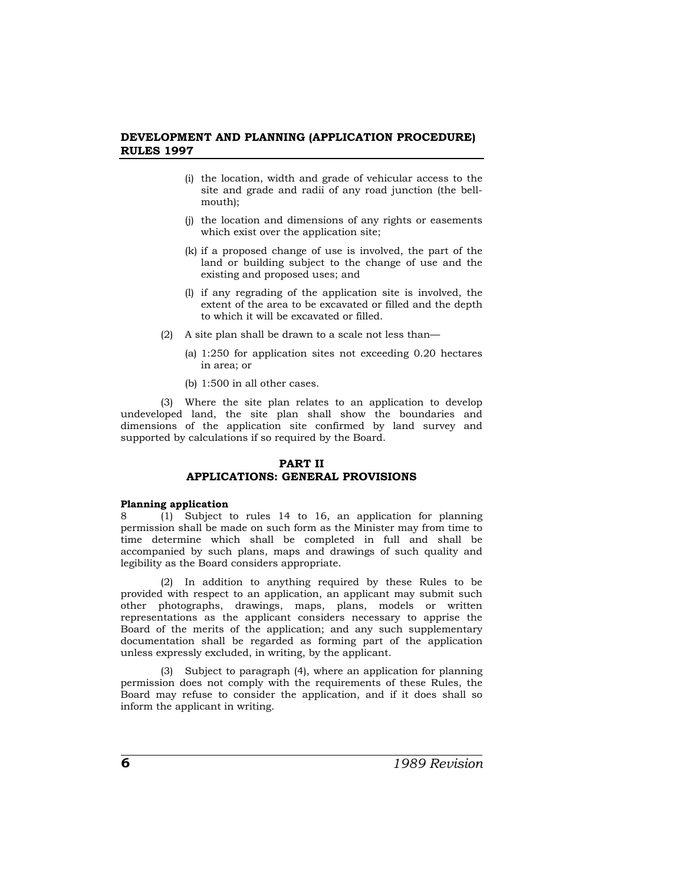- (i) the location, width and grade of vehicular access to the site and grade and radii of any road junction (the bellmouth);
- (j) the location and dimensions of any rights or easements which exist over the application site;
- (k) if a proposed change of use is involved, the part of the land or building subject to the change of use and the existing and proposed uses; and
- (l) if any regrading of the application site is involved, the extent of the area to be excavated or filled and the depth to which it will be excavated or filled.
- (2) A site plan shall be drawn to a scale not less than—
	- (a) 1:250 for application sites not exceeding 0.20 hectares in area; or
	- (b) 1:500 in all other cases.

(3) Where the site plan relates to an application to develop undeveloped land, the site plan shall show the boundaries and dimensions of the application site confirmed by land survey and supported by calculations if so required by the Board.

## **PART II APPLICATIONS: GENERAL PROVISIONS**

#### **Planning application**

8 (1) Subject to rules 14 to 16, an application for planning permission shall be made on such form as the Minister may from time to time determine which shall be completed in full and shall be accompanied by such plans, maps and drawings of such quality and legibility as the Board considers appropriate.

(2) In addition to anything required by these Rules to be provided with respect to an application, an applicant may submit such other photographs, drawings, maps, plans, models or written representations as the applicant considers necessary to apprise the Board of the merits of the application; and any such supplementary documentation shall be regarded as forming part of the application unless expressly excluded, in writing, by the applicant.

(3) Subject to paragraph (4), where an application for planning permission does not comply with the requirements of these Rules, the Board may refuse to consider the application, and if it does shall so inform the applicant in writing.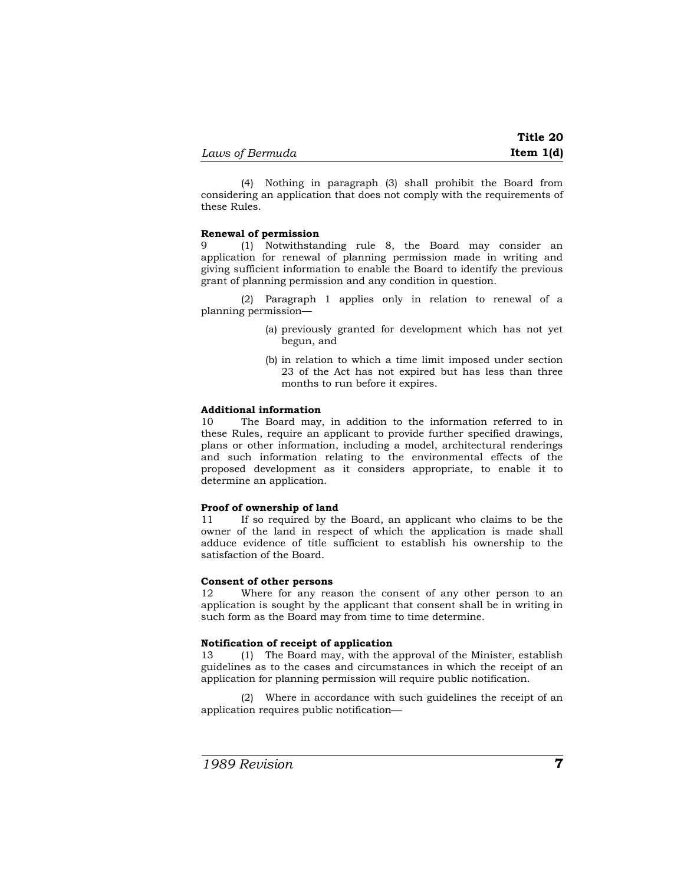(4) Nothing in paragraph (3) shall prohibit the Board from considering an application that does not comply with the requirements of these Rules.

#### **Renewal of permission**

9 (1) Notwithstanding rule 8, the Board may consider an application for renewal of planning permission made in writing and giving sufficient information to enable the Board to identify the previous grant of planning permission and any condition in question.

 (2) Paragraph 1 applies only in relation to renewal of a planning permission—

- (a) previously granted for development which has not yet begun, and
- (b) in relation to which a time limit imposed under section 23 of the Act has not expired but has less than three months to run before it expires.

## **Additional information**

10 The Board may, in addition to the information referred to in these Rules, require an applicant to provide further specified drawings, plans or other information, including a model, architectural renderings and such information relating to the environmental effects of the proposed development as it considers appropriate, to enable it to determine an application.

#### **Proof of ownership of land**

11 If so required by the Board, an applicant who claims to be the owner of the land in respect of which the application is made shall adduce evidence of title sufficient to establish his ownership to the satisfaction of the Board.

## **Consent of other persons**

12 Where for any reason the consent of any other person to an application is sought by the applicant that consent shall be in writing in such form as the Board may from time to time determine.

#### **Notification of receipt of application**

13 (1) The Board may, with the approval of the Minister, establish guidelines as to the cases and circumstances in which the receipt of an application for planning permission will require public notification.

(2) Where in accordance with such guidelines the receipt of an application requires public notification—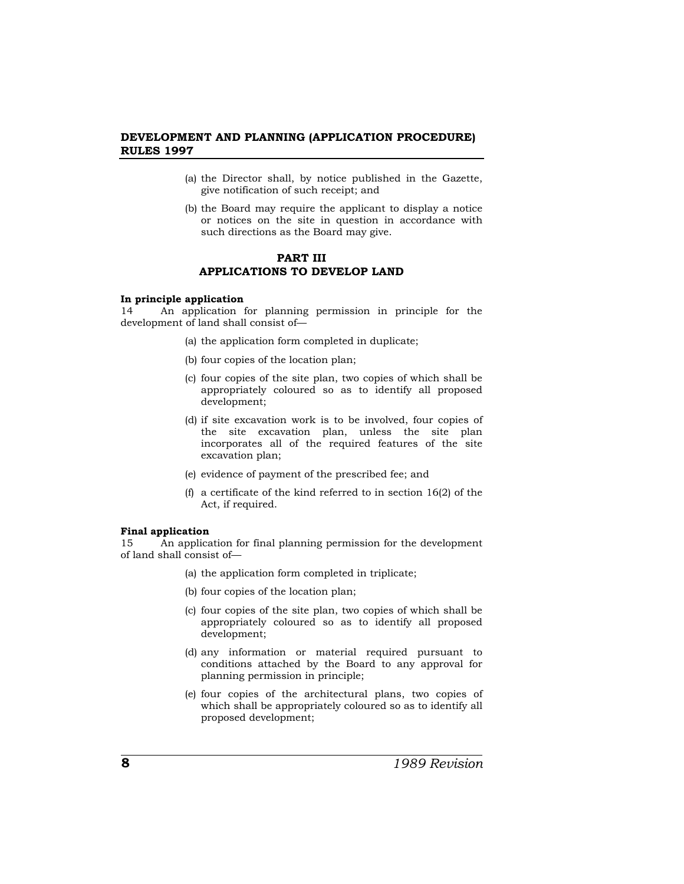- (a) the Director shall, by notice published in the Gazette, give notification of such receipt; and
- (b) the Board may require the applicant to display a notice or notices on the site in question in accordance with such directions as the Board may give.

## **PART III APPLICATIONS TO DEVELOP LAND**

#### **In principle application**

14 An application for planning permission in principle for the development of land shall consist of—

- (a) the application form completed in duplicate;
- (b) four copies of the location plan;
- (c) four copies of the site plan, two copies of which shall be appropriately coloured so as to identify all proposed development;
- (d) if site excavation work is to be involved, four copies of the site excavation plan, unless the site plan incorporates all of the required features of the site excavation plan;
- (e) evidence of payment of the prescribed fee; and
- (f) a certificate of the kind referred to in section 16(2) of the Act, if required.

#### **Final application**

15 An application for final planning permission for the development of land shall consist of—

- (a) the application form completed in triplicate;
- (b) four copies of the location plan;
- (c) four copies of the site plan, two copies of which shall be appropriately coloured so as to identify all proposed development;
- (d) any information or material required pursuant to conditions attached by the Board to any approval for planning permission in principle;
- (e) four copies of the architectural plans, two copies of which shall be appropriately coloured so as to identify all proposed development;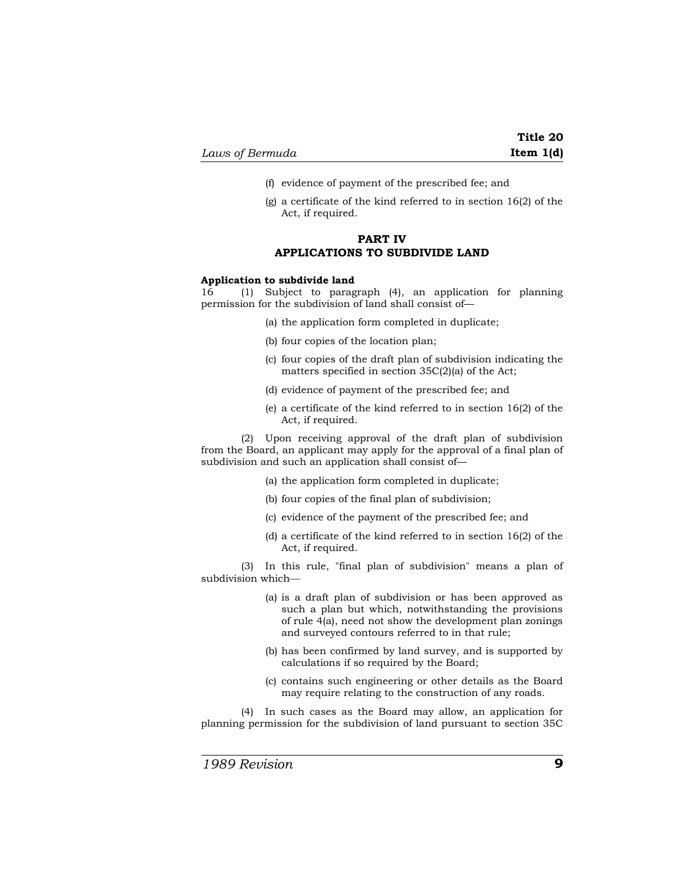- (f) evidence of payment of the prescribed fee; and
- (g) a certificate of the kind referred to in section 16(2) of the Act, if required.

## **PART IV APPLICATIONS TO SUBDIVIDE LAND**

#### **Application to subdivide land**

16 (1) Subject to paragraph (4), an application for planning permission for the subdivision of land shall consist of—

- (a) the application form completed in duplicate;
- (b) four copies of the location plan;
- (c) four copies of the draft plan of subdivision indicating the matters specified in section 35C(2)(a) of the Act;
- (d) evidence of payment of the prescribed fee; and
- (e) a certificate of the kind referred to in section 16(2) of the Act, if required.

(2) Upon receiving approval of the draft plan of subdivision from the Board, an applicant may apply for the approval of a final plan of subdivision and such an application shall consist of—

- (a) the application form completed in duplicate;
- (b) four copies of the final plan of subdivision;
- (c) evidence of the payment of the prescribed fee; and
- (d) a certificate of the kind referred to in section 16(2) of the Act, if required.

(3) In this rule, "final plan of subdivision" means a plan of subdivision which-

- (a) is a draft plan of subdivision or has been approved as such a plan but which, notwithstanding the provisions of rule 4(a), need not show the development plan zonings and surveyed contours referred to in that rule;
- (b) has been confirmed by land survey, and is supported by calculations if so required by the Board;
- (c) contains such engineering or other details as the Board may require relating to the construction of any roads.

(4) In such cases as the Board may allow, an application for planning permission for the subdivision of land pursuant to section 35C

*1989 Revision* **9**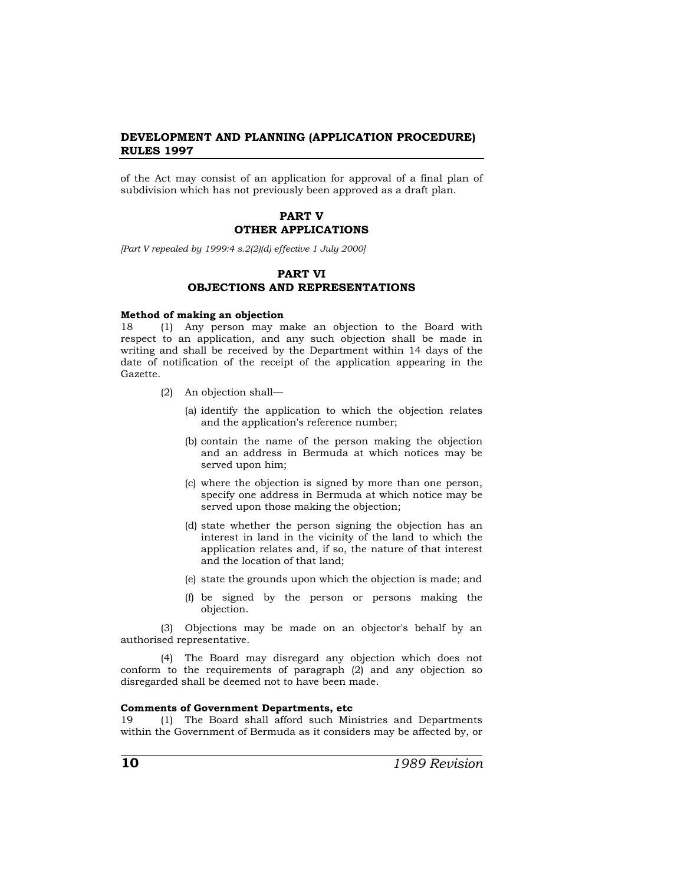of the Act may consist of an application for approval of a final plan of subdivision which has not previously been approved as a draft plan.

## **PART V OTHER APPLICATIONS**

*[Part V repealed by 1999:4 s.2(2)(d) effective 1 July 2000]* 

## **PART VI OBJECTIONS AND REPRESENTATIONS**

#### **Method of making an objection**

18 (1) Any person may make an objection to the Board with respect to an application, and any such objection shall be made in writing and shall be received by the Department within 14 days of the date of notification of the receipt of the application appearing in the Gazette.

- (2) An objection shall—
	- (a) identify the application to which the objection relates and the application's reference number;
	- (b) contain the name of the person making the objection and an address in Bermuda at which notices may be served upon him;
	- (c) where the objection is signed by more than one person, specify one address in Bermuda at which notice may be served upon those making the objection;
	- (d) state whether the person signing the objection has an interest in land in the vicinity of the land to which the application relates and, if so, the nature of that interest and the location of that land;
	- (e) state the grounds upon which the objection is made; and
	- (f) be signed by the person or persons making the objection.

(3) Objections may be made on an objector's behalf by an authorised representative.

(4) The Board may disregard any objection which does not conform to the requirements of paragraph (2) and any objection so disregarded shall be deemed not to have been made.

#### **Comments of Government Departments, etc**

19 (1) The Board shall afford such Ministries and Departments within the Government of Bermuda as it considers may be affected by, or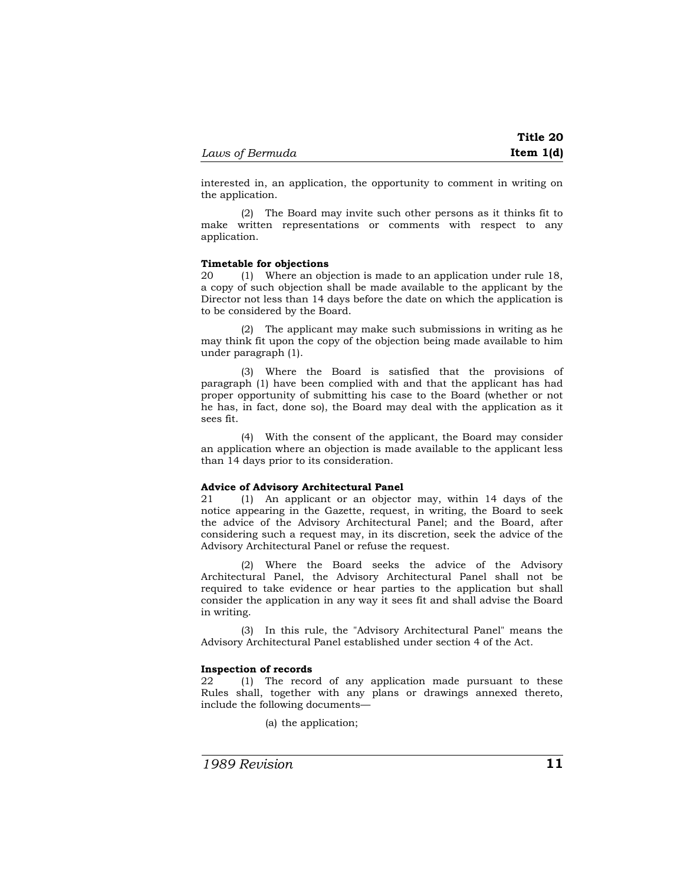interested in, an application, the opportunity to comment in writing on the application.

(2) The Board may invite such other persons as it thinks fit to make written representations or comments with respect to any application.

## **Timetable for objections**

20 (1) Where an objection is made to an application under rule 18, a copy of such objection shall be made available to the applicant by the Director not less than 14 days before the date on which the application is to be considered by the Board.

(2) The applicant may make such submissions in writing as he may think fit upon the copy of the objection being made available to him under paragraph (1).

(3) Where the Board is satisfied that the provisions of paragraph (1) have been complied with and that the applicant has had proper opportunity of submitting his case to the Board (whether or not he has, in fact, done so), the Board may deal with the application as it sees fit.

(4) With the consent of the applicant, the Board may consider an application where an objection is made available to the applicant less than 14 days prior to its consideration.

#### **Advice of Advisory Architectural Panel**

21 (1) An applicant or an objector may, within 14 days of the notice appearing in the Gazette, request, in writing, the Board to seek the advice of the Advisory Architectural Panel; and the Board, after considering such a request may, in its discretion, seek the advice of the Advisory Architectural Panel or refuse the request.

(2) Where the Board seeks the advice of the Advisory Architectural Panel, the Advisory Architectural Panel shall not be required to take evidence or hear parties to the application but shall consider the application in any way it sees fit and shall advise the Board in writing.

(3) In this rule, the "Advisory Architectural Panel" means the Advisory Architectural Panel established under section 4 of the Act.

#### **Inspection of records**

22 (1) The record of any application made pursuant to these Rules shall, together with any plans or drawings annexed thereto, include the following documents—

(a) the application;

*1989 Revision* **11**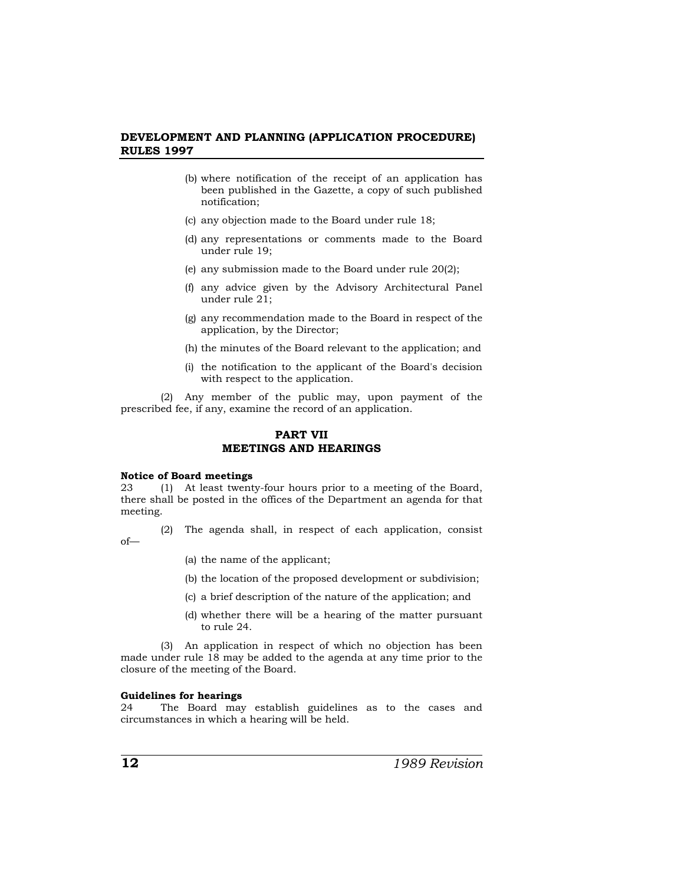- (b) where notification of the receipt of an application has been published in the Gazette, a copy of such published notification;
- (c) any objection made to the Board under rule 18;
- (d) any representations or comments made to the Board under rule 19;
- (e) any submission made to the Board under rule 20(2);
- (f) any advice given by the Advisory Architectural Panel under rule 21;
- (g) any recommendation made to the Board in respect of the application, by the Director;
- (h) the minutes of the Board relevant to the application; and
- (i) the notification to the applicant of the Board's decision with respect to the application.

(2) Any member of the public may, upon payment of the prescribed fee, if any, examine the record of an application.

## **PART VII MEETINGS AND HEARINGS**

#### **Notice of Board meetings**

23 (1) At least twenty-four hours prior to a meeting of the Board, there shall be posted in the offices of the Department an agenda for that meeting.

(2) The agenda shall, in respect of each application, consist of—

- (a) the name of the applicant;
- (b) the location of the proposed development or subdivision;
- (c) a brief description of the nature of the application; and
- (d) whether there will be a hearing of the matter pursuant to rule 24.

(3) An application in respect of which no objection has been made under rule 18 may be added to the agenda at any time prior to the closure of the meeting of the Board.

#### **Guidelines for hearings**

24 The Board may establish guidelines as to the cases and circumstances in which a hearing will be held.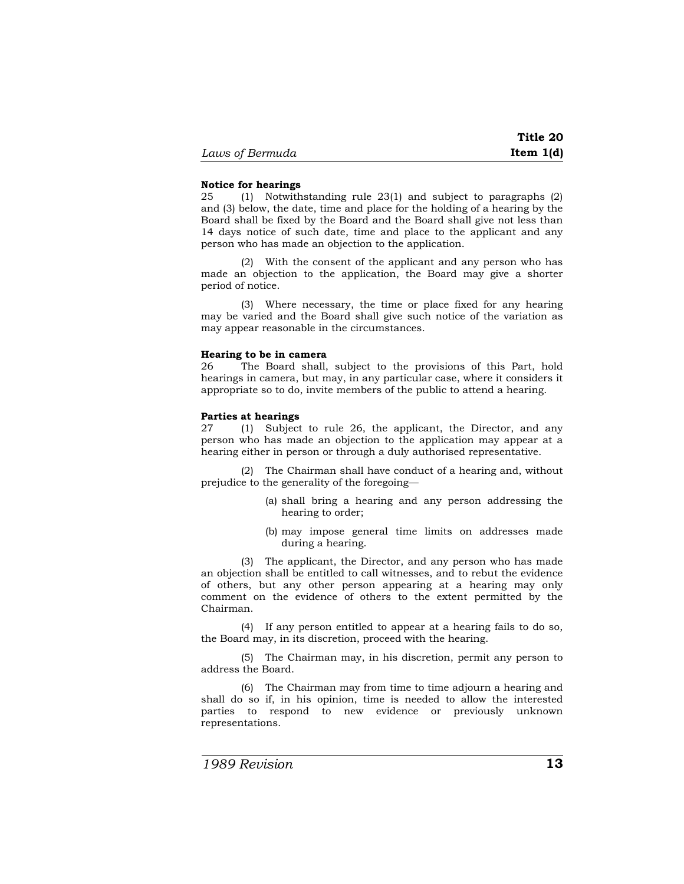#### **Notice for hearings**

25 (1) Notwithstanding rule 23(1) and subject to paragraphs (2) and (3) below, the date, time and place for the holding of a hearing by the Board shall be fixed by the Board and the Board shall give not less than 14 days notice of such date, time and place to the applicant and any person who has made an objection to the application.

(2) With the consent of the applicant and any person who has made an objection to the application, the Board may give a shorter period of notice.

(3) Where necessary, the time or place fixed for any hearing may be varied and the Board shall give such notice of the variation as may appear reasonable in the circumstances.

#### **Hearing to be in camera**

26 The Board shall, subject to the provisions of this Part, hold hearings in camera, but may, in any particular case, where it considers it appropriate so to do, invite members of the public to attend a hearing.

#### **Parties at hearings**

27 (1) Subject to rule 26, the applicant, the Director, and any person who has made an objection to the application may appear at a hearing either in person or through a duly authorised representative.

 (2) The Chairman shall have conduct of a hearing and, without prejudice to the generality of the foregoing—

- (a) shall bring a hearing and any person addressing the hearing to order;
- (b) may impose general time limits on addresses made during a hearing.

 (3) The applicant, the Director, and any person who has made an objection shall be entitled to call witnesses, and to rebut the evidence of others, but any other person appearing at a hearing may only comment on the evidence of others to the extent permitted by the Chairman.

 (4) If any person entitled to appear at a hearing fails to do so, the Board may, in its discretion, proceed with the hearing.

 (5) The Chairman may, in his discretion, permit any person to address the Board.

 (6) The Chairman may from time to time adjourn a hearing and shall do so if, in his opinion, time is needed to allow the interested parties to respond to new evidence or previously unknown representations.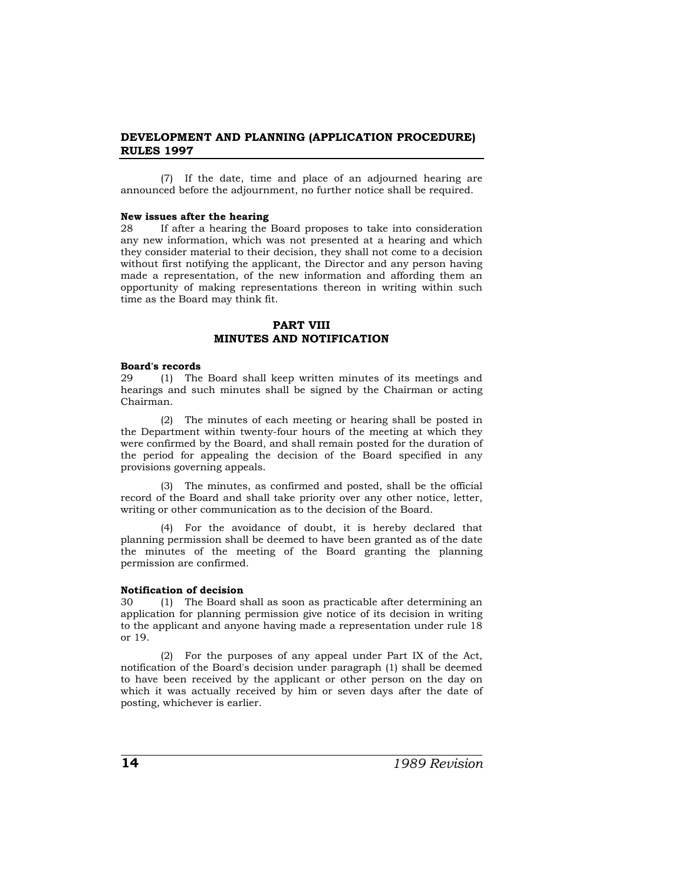(7) If the date, time and place of an adjourned hearing are announced before the adjournment, no further notice shall be required.

#### **New issues after the hearing**

28 If after a hearing the Board proposes to take into consideration any new information, which was not presented at a hearing and which they consider material to their decision, they shall not come to a decision without first notifying the applicant, the Director and any person having made a representation, of the new information and affording them an opportunity of making representations thereon in writing within such time as the Board may think fit.

## **PART VIII MINUTES AND NOTIFICATION**

## **Board's records**

29 (1) The Board shall keep written minutes of its meetings and hearings and such minutes shall be signed by the Chairman or acting Chairman.

(2) The minutes of each meeting or hearing shall be posted in the Department within twenty-four hours of the meeting at which they were confirmed by the Board, and shall remain posted for the duration of the period for appealing the decision of the Board specified in any provisions governing appeals.

(3) The minutes, as confirmed and posted, shall be the official record of the Board and shall take priority over any other notice, letter, writing or other communication as to the decision of the Board.

(4) For the avoidance of doubt, it is hereby declared that planning permission shall be deemed to have been granted as of the date the minutes of the meeting of the Board granting the planning permission are confirmed.

#### **Notification of decision**

30 (1) The Board shall as soon as practicable after determining an application for planning permission give notice of its decision in writing to the applicant and anyone having made a representation under rule 18 or 19.

(2) For the purposes of any appeal under Part IX of the Act, notification of the Board's decision under paragraph (1) shall be deemed to have been received by the applicant or other person on the day on which it was actually received by him or seven days after the date of posting, whichever is earlier.